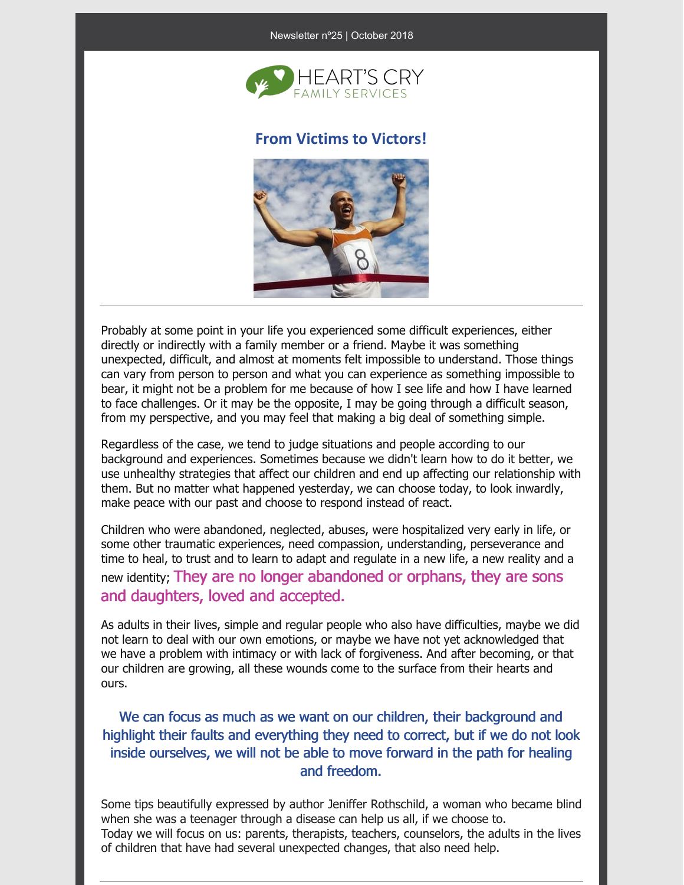#### Newsletter nº25 | October 2018



### **From Victims to Victors!**



Probably at some point in your life you experienced some difficult experiences, either directly or indirectly with a family member or a friend. Maybe it was something unexpected, difficult, and almost at moments felt impossible to understand. Those things can vary from person to person and what you can experience as something impossible to bear, it might not be a problem for me because of how I see life and how I have learned to face challenges. Or it may be the opposite, I may be going through a difficult season, from my perspective, and you may feel that making a big deal of something simple.

Regardless of the case, we tend to judge situations and people according to our background and experiences. Sometimes because we didn't learn how to do it better, we use unhealthy strategies that affect our children and end up affecting our relationship with them. But no matter what happened yesterday, we can choose today, to look inwardly, make peace with our past and choose to respond instead of react.

Children who were abandoned, neglected, abuses, were hospitalized very early in life, or some other traumatic experiences, need compassion, understanding, perseverance and time to heal, to trust and to learn to adapt and regulate in a new life, a new reality and a new identity; They are no longer abandoned or orphans, they are sons and daughters, loved and accepted.

As adults in their lives, simple and regular people who also have difficulties, maybe we did not learn to deal with our own emotions, or maybe we have not yet acknowledged that we have a problem with intimacy or with lack of forgiveness. And after becoming, or that our children are growing, all these wounds come to the surface from their hearts and ours.

## We can focus as much as we want on our children, their background and highlight their faults and everything they need to correct, but if we do not look inside ourselves, we will not be able to move forward in the path for healing and freedom.

Some tips beautifully expressed by author Jeniffer Rothschild, a woman who became blind when she was a teenager through a disease can help us all, if we choose to. Today we will focus on us: parents, therapists, teachers, counselors, the adults in the lives of children that have had several unexpected changes, that also need help.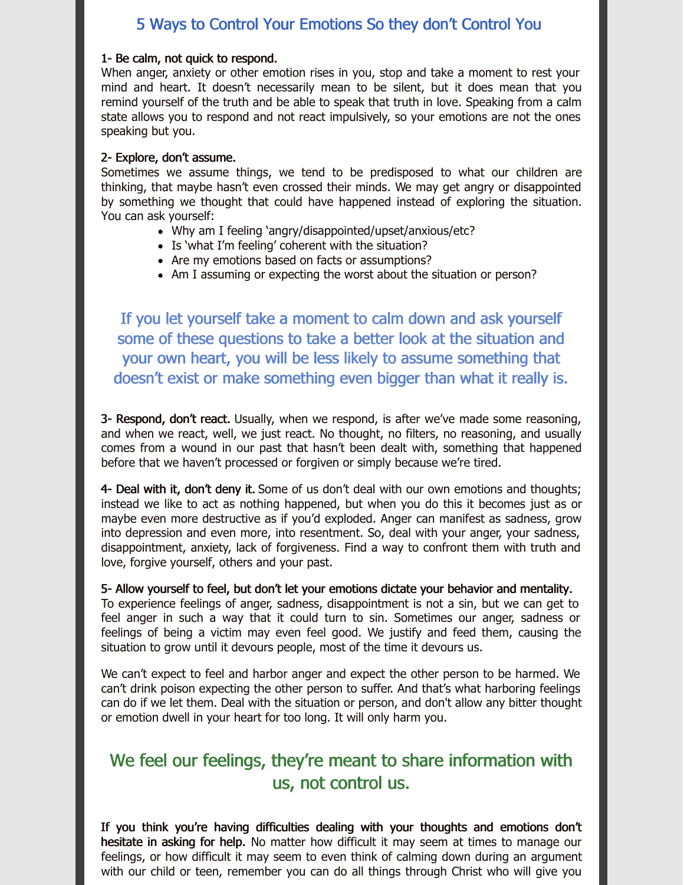## 5 Ways to Control Your Emotions So they don't Control You

#### 1- Be calm, not quick to respond.

When anger, anxiety or other emotion rises in you, stop and take a moment to rest your mind and heart. It doesn't necessarily mean to be silent, but it does mean that you remind yourself of the truth and be able to speak that truth in love. Speaking from a calm state allows you to respond and not react impulsively, so your emotions are not the ones speaking but you.

#### 2- Explore, don't assume.

Sometimes we assume things, we tend to be predisposed to what our children are thinking, that maybe hasn't even crossed their minds. We may get angry or disappointed by something we thought that could have happened instead of exploring the situation. You can ask yourself:

- Why am I feeling 'angry/disappointed/upset/anxious/etc?
- Is 'what I'm feeling' coherent with the situation?
- Are my emotions based on facts or assumptions?
- Am I assuming or expecting the worst about the situation or person?

If you let yourself take a moment to calm down and ask yourself some of these questions to take a better look at the situation and your own heart, you will be less likely to assume something that doesn't exist or make something even bigger than what it really is.

3- Respond, don't react. Usually, when we respond, is after we've made some reasoning, and when we react, well, we just react. No thought, no filters, no reasoning, and usually comes from a wound in our past that hasn't been dealt with, something that happened before that we haven't processed or forgiven or simply because we're tired.

4- Deal with it, don't deny it. Some of us don't deal with our own emotions and thoughts; instead we like to act as nothing happened, but when you do this it becomes just as or maybe even more destructive as if you'd exploded. Anger can manifest as sadness, grow into depression and even more, into resentment. So, deal with your anger, your sadness, disappointment, anxiety, lack of forgiveness. Find a way to confront them with truth and love, forgive yourself, others and your past.

5- Allow yourself to feel, but don't let your emotions dictate your behavior and mentality. To experience feelings of anger, sadness, disappointment is not a sin, but we can get to feel anger in such a way that it could turn to sin. Sometimes our anger, sadness or feelings of being a victim may even feel good. We justify and feed them, causing the situation to grow until it devours people, most of the time it devours us.

We can't expect to feel and harbor anger and expect the other person to be harmed. We can't drink poison expecting the other person to suffer. And that's what harboring feelings can do if we let them. Deal with the situation or person, and don't allow any bitter thought or emotion dwell in your heart for too long. It will only harm you.

# We feel our feelings, they're meant to share information with us, not control us.

If you think you're having difficulties dealing with your thoughts and emotions don't hesitate in asking for help. No matter how difficult it may seem at times to manage our feelings, or how difficult it may seem to even think of calming down during an argument with our child or teen, remember you can do all things through Christ who will give you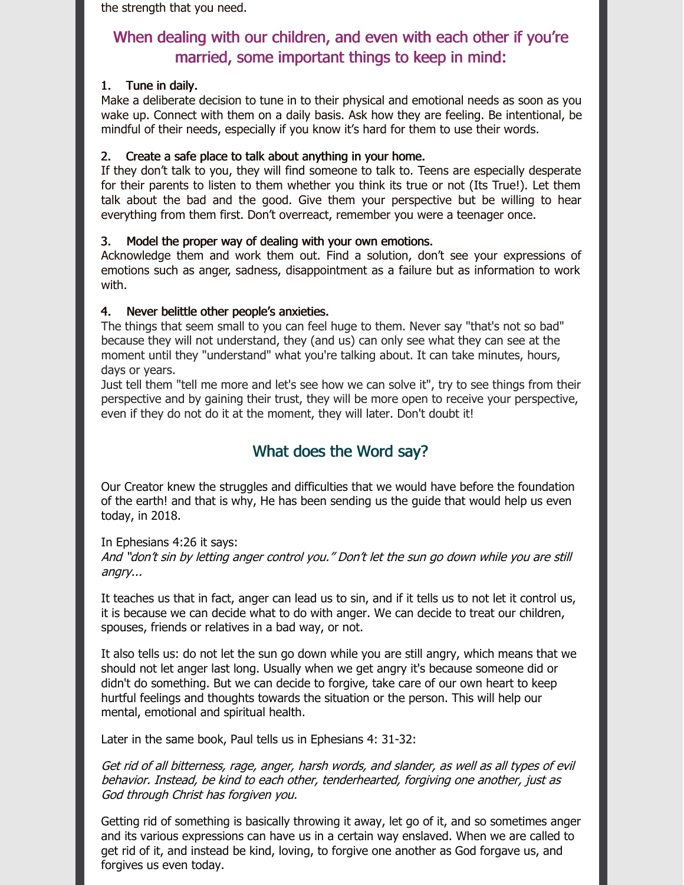the strength that you need.

# When dealing with our children, and even with each other if you're married, some important things to keep in mind:

### 1. Tune in daily.

Make a deliberate decision to tune in to their physical and emotional needs as soon as you wake up. Connect with them on a daily basis. Ask how they are feeling. Be intentional, be mindful of their needs, especially if you know it's hard for them to use their words.

### 2. Create a safe place to talk about anything in your home.

If they don't talk to you, they will find someone to talk to. Teens are especially desperate for their parents to listen to them whether you think its true or not (Its True!). Let them talk about the bad and the good. Give them your perspective but be willing to hear everything from them first. Don't overreact, remember you were a teenager once.

### 3. Model the proper way of dealing with your own emotions.

Acknowledge them and work them out. Find a solution, don't see your expressions of emotions such as anger, sadness, disappointment as a failure but as information to work with.

### 4. Never belittle other people's anxieties.

The things that seem small to you can feel huge to them. Never say "that's not so bad" because they will not understand, they (and us) can only see what they can see at the moment until they "understand" what you're talking about. It can take minutes, hours, days or years.

Just tell them "tell me more and let's see how we can solve it", try to see things from their perspective and by gaining their trust, they will be more open to receive your perspective, even if they do not do it at the moment, they will later. Don't doubt it!

## What does the Word say?

Our Creator knew the struggles and difficulties that we would have before the foundation of the earth! and that is why, He has been sending us the guide that would help us even today, in 2018.

### In Ephesians 4:26 it says: And "don't sin by letting anger control you." Don't let the sun go down while you are still angry...

It teaches us that in fact, anger can lead us to sin, and if it tells us to not let it control us, it is because we can decide what to do with anger. We can decide to treat our children, spouses, friends or relatives in a bad way, or not.

It also tells us: do not let the sun go down while you are still angry, which means that we should not let anger last long. Usually when we get angry it's because someone did or didn't do something. But we can decide to forgive, take care of our own heart to keep hurtful feelings and thoughts towards the situation or the person. This will help our mental, emotional and spiritual health.

Later in the same book, Paul tells us in Ephesians 4: 31-32:

Get rid of all bitterness, rage, anger, harsh words, and slander, as well as all types of evil behavior. Instead, be kind to each other, tenderhearted, forgiving one another, just as God through Christ has forgiven you.

Getting rid of something is basically throwing it away, let go of it, and so sometimes anger and its various expressions can have us in a certain way enslaved. When we are called to get rid of it, and instead be kind, loving, to forgive one another as God forgave us, and forgives us even today.